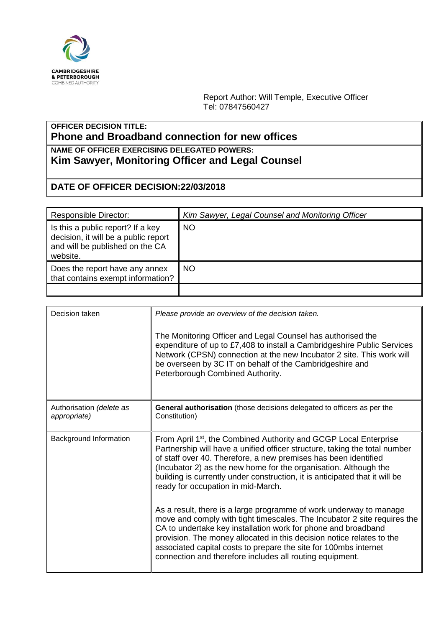

Report Author: Will Temple, Executive Officer Tel: 07847560427

## **OFFICER DECISION TITLE: Phone and Broadband connection for new offices**

**NAME OF OFFICER EXERCISING DELEGATED POWERS: Kim Sawyer, Monitoring Officer and Legal Counsel**

## **DATE OF OFFICER DECISION:22/03/2018**

| <b>Responsible Director:</b>                                                                                             | Kim Sawyer, Legal Counsel and Monitoring Officer |
|--------------------------------------------------------------------------------------------------------------------------|--------------------------------------------------|
| Is this a public report? If a key<br>decision, it will be a public report<br>and will be published on the CA<br>website. | <b>NO</b>                                        |
| Does the report have any annex<br>that contains exempt information?                                                      | <b>NO</b>                                        |
|                                                                                                                          |                                                  |

| Decision taken                           | Please provide an overview of the decision taken.<br>The Monitoring Officer and Legal Counsel has authorised the<br>expenditure of up to £7,408 to install a Cambridgeshire Public Services<br>Network (CPSN) connection at the new Incubator 2 site. This work will<br>be overseen by 3C IT on behalf of the Cambridgeshire and<br>Peterborough Combined Authority.                                                     |
|------------------------------------------|--------------------------------------------------------------------------------------------------------------------------------------------------------------------------------------------------------------------------------------------------------------------------------------------------------------------------------------------------------------------------------------------------------------------------|
| Authorisation (delete as<br>appropriate) | General authorisation (those decisions delegated to officers as per the<br>Constitution)                                                                                                                                                                                                                                                                                                                                 |
| Background Information                   | From April 1 <sup>st</sup> , the Combined Authority and GCGP Local Enterprise<br>Partnership will have a unified officer structure, taking the total number<br>of staff over 40. Therefore, a new premises has been identified<br>(Incubator 2) as the new home for the organisation. Although the<br>building is currently under construction, it is anticipated that it will be<br>ready for occupation in mid-March.  |
|                                          | As a result, there is a large programme of work underway to manage<br>move and comply with tight timescales. The Incubator 2 site requires the<br>CA to undertake key installation work for phone and broadband<br>provision. The money allocated in this decision notice relates to the<br>associated capital costs to prepare the site for 100mbs internet<br>connection and therefore includes all routing equipment. |